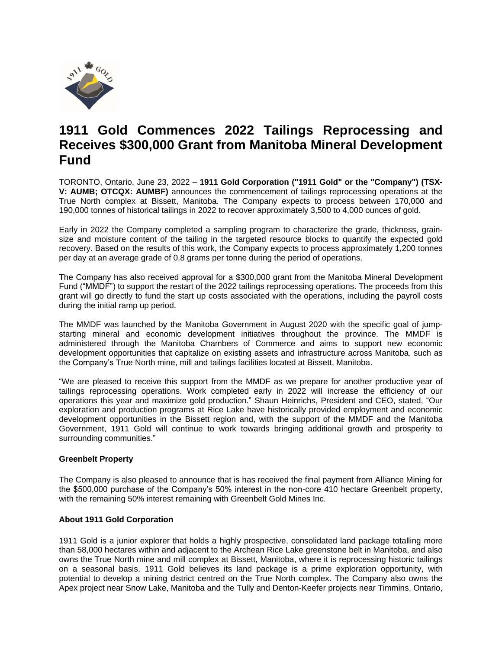

# **1911 Gold Commences 2022 Tailings Reprocessing and Receives \$300,000 Grant from Manitoba Mineral Development Fund**

TORONTO, Ontario, June 23, 2022 – **1911 Gold Corporation ("1911 Gold" or the "Company") (TSX-V: AUMB; OTCQX: AUMBF)** announces the commencement of tailings reprocessing operations at the True North complex at Bissett, Manitoba. The Company expects to process between 170,000 and 190,000 tonnes of historical tailings in 2022 to recover approximately 3,500 to 4,000 ounces of gold.

Early in 2022 the Company completed a sampling program to characterize the grade, thickness, grainsize and moisture content of the tailing in the targeted resource blocks to quantify the expected gold recovery. Based on the results of this work, the Company expects to process approximately 1,200 tonnes per day at an average grade of 0.8 grams per tonne during the period of operations.

The Company has also received approval for a \$300,000 grant from the Manitoba Mineral Development Fund ("MMDF") to support the restart of the 2022 tailings reprocessing operations. The proceeds from this grant will go directly to fund the start up costs associated with the operations, including the payroll costs during the initial ramp up period.

The MMDF was launched by the Manitoba Government in August 2020 with the specific goal of jumpstarting mineral and economic development initiatives throughout the province. The MMDF is administered through the Manitoba Chambers of Commerce and aims to support new economic development opportunities that capitalize on existing assets and infrastructure across Manitoba, such as the Company's True North mine, mill and tailings facilities located at Bissett, Manitoba.

"We are pleased to receive this support from the MMDF as we prepare for another productive year of tailings reprocessing operations. Work completed early in 2022 will increase the efficiency of our operations this year and maximize gold production." Shaun Heinrichs, President and CEO, stated, "Our exploration and production programs at Rice Lake have historically provided employment and economic development opportunities in the Bissett region and, with the support of the MMDF and the Manitoba Government, 1911 Gold will continue to work towards bringing additional growth and prosperity to surrounding communities."

## **Greenbelt Property**

The Company is also pleased to announce that is has received the final payment from Alliance Mining for the \$500,000 purchase of the Company's 50% interest in the non-core 410 hectare Greenbelt property, with the remaining 50% interest remaining with Greenbelt Gold Mines Inc.

### **About 1911 Gold Corporation**

1911 Gold is a junior explorer that holds a highly prospective, consolidated land package totalling more than 58,000 hectares within and adjacent to the Archean Rice Lake greenstone belt in Manitoba, and also owns the True North mine and mill complex at Bissett, Manitoba, where it is reprocessing historic tailings on a seasonal basis. 1911 Gold believes its land package is a prime exploration opportunity, with potential to develop a mining district centred on the True North complex. The Company also owns the Apex project near Snow Lake, Manitoba and the Tully and Denton-Keefer projects near Timmins, Ontario,